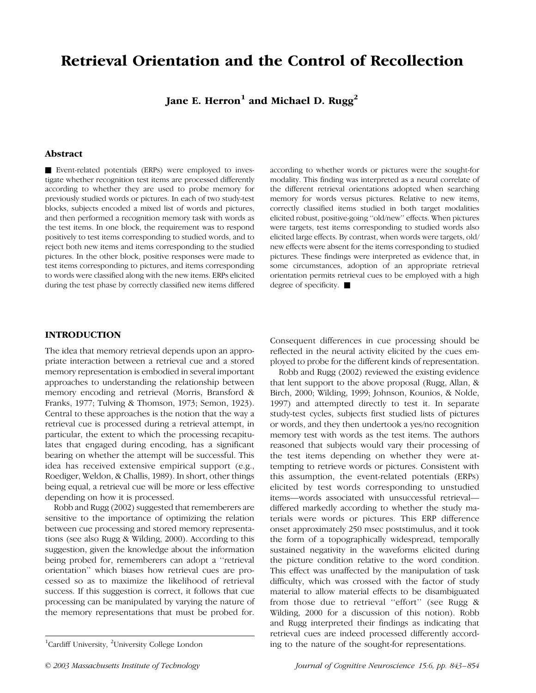# Retrieval Orientation and the Control of Recollection

Jane E. Herron<sup>1</sup> and Michael D. Rugg<sup>2</sup>

# Abstract

Event-related potentials (ERPs) were employed to investigate whether recognition test items are processed differently according to whether they are used to probe memory for previously studied words or pictures. In each of two study-test blocks, subjects encoded a mixed list of words and pictures, and then performed a recognition memory task with words as the test items. In one block, the requirement was to respond positively to test items corresponding to studied words, and to reject both new items and items corresponding to the studied pictures. In the other block, positive responses were made to test items corresponding to pictures, and items corresponding to words were classified along with the new items. ERPs elicited during the test phase by correctly classified new items differed according to whether words or pictures were the sought-for modality. This finding was interpreted as a neural correlate of the different retrieval orientations adopted when searching memory for words versus pictures. Relative to new items, correctly classified items studied in both target modalities elicited robust, positive-going ''old/new'' effects. When pictures were targets, test items corresponding to studied words also elicited large effects. By contrast, when words were targets, old/ new effects were absent for the items corresponding to studied pictures. These findings were interpreted as evidence that, in some circumstances, adoption of an appropriate retrieval orientation permits retrieval cues to be employed with a high degree of specificity.  $\blacksquare$ 

#### INTRODUCTION

The idea that memory retrieval depends upon an appropriate interaction between a retrieval cue and a stored memory representation is embodied in several important approaches to understanding the relationship between memory encoding and retrieval (Morris, Bransford & Franks, 1977; Tulving & Thomson, 1973; Semon, 1923). Central to these approaches is the notion that the way a retrieval cue is processed during a retrieval attempt, in particular, the extent to which the processing recapitulates that engaged during encoding, has a significant bearing on whether the attempt will be successful. This idea has received extensive empirical support (e.g., Roediger, Weldon, & Challis, 1989). In short, other things being equal, a retrieval cue will be more or less effective depending on how it is processed.

Robb and Rugg (2002) suggested that rememberers are sensitive to the importance of optimizing the relation between cue processing and stored memory representations (see also Rugg & Wilding, 2000). According to this suggestion, given the knowledge about the information being probed for, rememberers can adopt a ''retrieval orientation'' which biases how retrieval cues are processed so as to maximize the likelihood of retrieval success. If this suggestion is correct, it follows that cue processing can be manipulated by varying the nature of the memory representations that must be probed for.

Consequent differences in cue processing should be reflected in the neural activity elicited by the cues employed to probe for the different kinds of representation.

Robb and Rugg (2002) reviewed the existing evidence that lent support to the above proposal (Rugg, Allan, & Birch, 2000; Wilding, 1999; Johnson, Kounios, & Nolde, 1997) and attempted directly to test it. In separate study-test cycles, subjects first studied lists of pictures or words, and they then undertook a yes/no recognition memory test with words as the test items. The authors reasoned that subjects would vary their processing of the test items depending on whether they were attempting to retrieve words or pictures. Consistent with this assumption, the event-related potentials (ERPs) elicited by test words corresponding to unstudied items—words associated with unsuccessful retrieval differed markedly according to whether the study materials were words or pictures. This ERP difference onset approximately 250 msec poststimulus, and it took the form of a topographically widespread, temporally sustained negativity in the waveforms elicited during the picture condition relative to the word condition. This effect was unaffected by the manipulation of task difficulty, which was crossed with the factor of study material to allow material effects to be disambiguated from those due to retrieval ''effort'' (see Rugg & Wilding, 2000 for a discussion of this notion). Robb and Rugg interpreted their findings as indicating that retrieval cues are indeed processed differently according to the nature of the sought-for representations.

Cardiff University, <sup>2</sup>University College London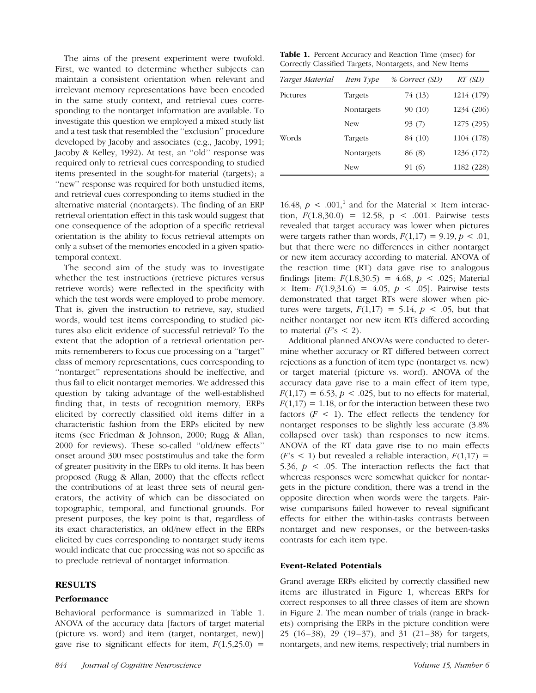The aims of the present experiment were twofold. First, we wanted to determine whether subjects can maintain a consistent orientation when relevant and irrelevant memory representations have been encoded in the same study context, and retrieval cues corresponding to the nontarget information are available. To investigate this question we employed a mixed study list and a test task that resembled the ''exclusion'' procedure developed by Jacoby and associates (e.g., Jacoby, 1991; Jacoby & Kelley, 1992). At test, an ''old'' response was required only to retrieval cues corresponding to studied items presented in the sought-for material (targets); a "new" response was required for both unstudied items, and retrieval cues corresponding to items studied in the alternative material (nontargets). The finding of an ERP retrieval orientation effect in this task would suggest that one consequence of the adoption of a specific retrieval orientation is the ability to focus retrieval attempts on only a subset of the memories encoded in a given spatiotemporal context.

The second aim of the study was to investigate whether the test instructions (retrieve pictures versus retrieve words) were reflected in the specificity with which the test words were employed to probe memory. That is, given the instruction to retrieve, say, studied words, would test items corresponding to studied pictures also elicit evidence of successful retrieval? To the extent that the adoption of a retrieval orientation permits rememberers to focus cue processing on a ''target'' class of memory representations, cues corresponding to ''nontarget'' representations should be ineffective, and thus fail to elicit nontarget memories. We addressed this question by taking advantage of the well-established finding that, in tests of recognition memory, ERPs elicited by correctly classified old items differ in a characteristic fashion from the ERPs elicited by new items (see Friedman & Johnson, 2000; Rugg & Allan, 2000 for reviews). These so-called ''old/new effects'' onset around 300 msec poststimulus and take the form of greater positivity in the ERPs to old items. It has been proposed (Rugg & Allan, 2000) that the effects reflect the contributions of at least three sets of neural generators, the activity of which can be dissociated on topographic, temporal, and functional grounds. For present purposes, the key point is that, regardless of its exact characteristics, an old/new effect in the ERPs elicited by cues corresponding to nontarget study items would indicate that cue processing was not so specific as to preclude retrieval of nontarget information.

## RESULTS

## Performance

Behavioral performance is summarized in Table 1. ANOVA of the accuracy data [factors of target material (picture vs. word) and item (target, nontarget, new)] gave rise to significant effects for item,  $F(1.5,25.0)$  =

Table 1. Percent Accuracy and Reaction Time (msec) for Correctly Classified Targets, Nontargets, and New Items

| Target Material | Item Type  | % Correct (SD) | RT(SD)     |
|-----------------|------------|----------------|------------|
| Pictures        | Targets    | 74 (13)        | 1214 (179) |
|                 | Nontargets | 90 (10)        | 1234 (206) |
|                 | <b>New</b> | 93(7)          | 1275 (295) |
| Words           | Targets    | 84 (10)        | 1104 (178) |
|                 | Nontargets | 86 (8)         | 1236 (172) |
|                 | <b>New</b> | 91 (6)         | 1182 (228) |

16.48,  $p < .001$ ,<sup>1</sup> and for the Material  $\times$  Item interaction,  $F(1.8,30.0) = 12.58$ ,  $p < .001$ . Pairwise tests revealed that target accuracy was lower when pictures were targets rather than words,  $F(1,17) = 9.19$ ,  $p < .01$ , but that there were no differences in either nontarget or new item accuracy according to material. ANOVA of the reaction time (RT) data gave rise to analogous findings [item:  $F(1.8,30.5) = 4.68, p < .025$ ; Material  $\times$  Item:  $F(1.9,31.6) = 4.05, p < .05$ . Pairwise tests demonstrated that target RTs were slower when pictures were targets,  $F(1,17) = 5.14$ ,  $p < .05$ , but that neither nontarget nor new item RTs differed according to material  $(Fs \leq 2)$ .

Additional planned ANOVAs were conducted to determine whether accuracy or RT differed between correct rejections as a function of item type (nontarget vs. new) or target material (picture vs. word). ANOVA of the accuracy data gave rise to a main effect of item type,  $F(1,17) = 6.53, p < .025$ , but to no effects for material,  $F(1,17) = 1.18$ , or for the interaction between these two factors  $(F < 1)$ . The effect reflects the tendency for nontarget responses to be slightly less accurate (3.8% collapsed over task) than responses to new items. ANOVA of the RT data gave rise to no main effects  $(Fs < 1)$  but revealed a reliable interaction,  $F(1,17) =$ 5.36,  $p \leq 0.05$ . The interaction reflects the fact that whereas responses were somewhat quicker for nontargets in the picture condition, there was a trend in the opposite direction when words were the targets. Pairwise comparisons failed however to reveal significant effects for either the within-tasks contrasts between nontarget and new responses, or the between-tasks contrasts for each item type.

## Event-Related Potentials

Grand average ERPs elicited by correctly classified new items are illustrated in Figure 1, whereas ERPs for correct responses to all three classes of item are shown in Figure 2. The mean number of trials (range in brackets) comprising the ERPs in the picture condition were 25 (16–38), 29 (19–37), and 31 (21–38) for targets, nontargets, and new items, respectively; trial numbers in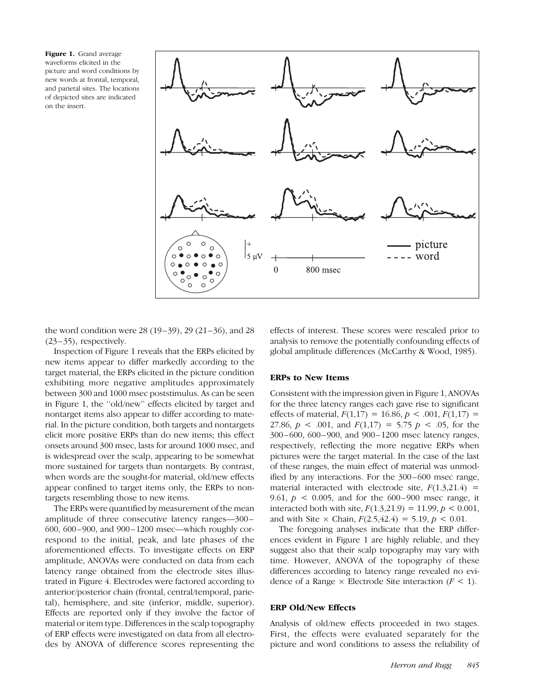Figure 1. Grand average waveforms elicited in the picture and word conditions by new words at frontal, temporal, and parietal sites. The locations of depicted sites are indicated on the insert.



the word condition were 28 (19–39), 29 (21–36), and 28 (23–35), respectively.

Inspection of Figure 1 reveals that the ERPs elicited by new items appear to differ markedly according to the target material, the ERPs elicited in the picture condition exhibiting more negative amplitudes approximately between 300 and 1000 msec poststimulus. As can be seen in Figure 1, the ''old/new'' effects elicited by target and nontarget items also appear to differ according to material. In the picture condition, both targets and nontargets elicit more positive ERPs than do new items; this effect onsets around 300 msec, lasts for around 1000 msec, and is widespread over the scalp, appearing to be somewhat more sustained for targets than nontargets. By contrast, when words are the sought-for material, old/new effects appear confined to target items only, the ERPs to nontargets resembling those to new items.

The ERPs were quantified by measurement of the mean amplitude of three consecutive latency ranges—300– 600, 600–900, and 900–1200 msec—which roughly correspond to the initial, peak, and late phases of the aforementioned effects. To investigate effects on ERP amplitude, ANOVAs were conducted on data from each latency range obtained from the electrode sites illustrated in Figure 4. Electrodes were factored according to anterior/posterior chain (frontal, central/temporal, parietal), hemisphere, and site (inferior, middle, superior). Effects are reported only if they involve the factor of material or item type. Differences in the scalp topography of ERP effects were investigated on data from all electrodes by ANOVA of difference scores representing the

effects of interest. These scores were rescaled prior to analysis to remove the potentially confounding effects of global amplitude differences (McCarthy & Wood, 1985).

#### ERPs to New Items

Consistent with the impression given in Figure 1, ANOVAs for the three latency ranges each gave rise to significant effects of material,  $F(1,17) = 16.86, p < .001, F(1,17) =$ 27.86,  $p < .001$ , and  $F(1,17) = 5.75$   $p < .05$ , for the 300–600, 600–900, and 900–1200 msec latency ranges, respectively, reflecting the more negative ERPs when pictures were the target material. In the case of the last of these ranges, the main effect of material was unmodified by any interactions. For the 300–600 msec range, material interacted with electrode site,  $F(1,3,21.4)$  = 9.61,  $p \le 0.005$ , and for the 600–900 msec range, it interacted both with site,  $F(1.3,21.9) = 11.99, p < 0.001$ , and with Site  $\times$  Chain,  $F(2.5, 42.4) = 5.19, p < 0.01$ .

The foregoing analyses indicate that the ERP differences evident in Figure 1 are highly reliable, and they suggest also that their scalp topography may vary with time. However, ANOVA of the topography of these differences according to latency range revealed no evidence of a Range  $\times$  Electrode Site interaction ( $F < 1$ ).

#### ERP Old/New Effects

Analysis of old/new effects proceeded in two stages. First, the effects were evaluated separately for the picture and word conditions to assess the reliability of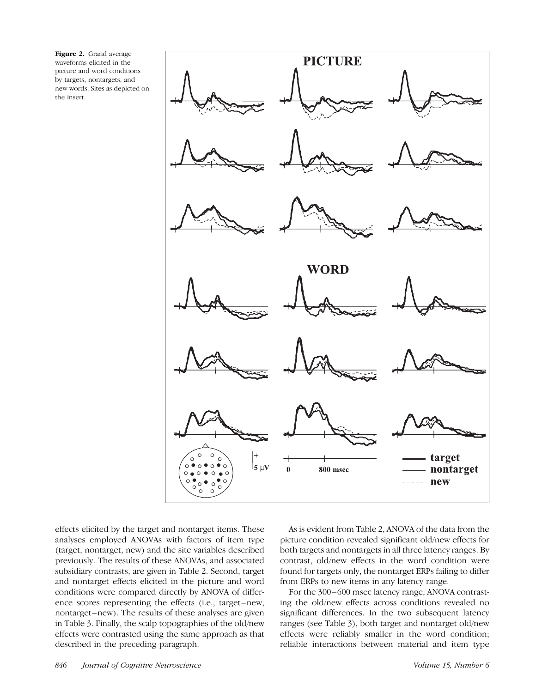



effects elicited by the target and nontarget items. These analyses employed ANOVAs with factors of item type (target, nontarget, new) and the site variables described previously. The results of these ANOVAs, and associated subsidiary contrasts, are given in Table 2. Second, target and nontarget effects elicited in the picture and word conditions were compared directly by ANOVA of difference scores representing the effects (i.e., target–new, nontarget–new). The results of these analyses are given in Table 3. Finally, the scalp topographies of the old/new effects were contrasted using the same approach as that described in the preceding paragraph.

As is evident from Table 2, ANOVA of the data from the picture condition revealed significant old/new effects for both targets and nontargets in all three latency ranges. By contrast, old/new effects in the word condition were found for targets only, the nontarget ERPs failing to differ from ERPs to new items in any latency range.

For the 300–600 msec latency range, ANOVA contrasting the old/new effects across conditions revealed no significant differences. In the two subsequent latency ranges (see Table 3), both target and nontarget old/new effects were reliably smaller in the word condition; reliable interactions between material and item type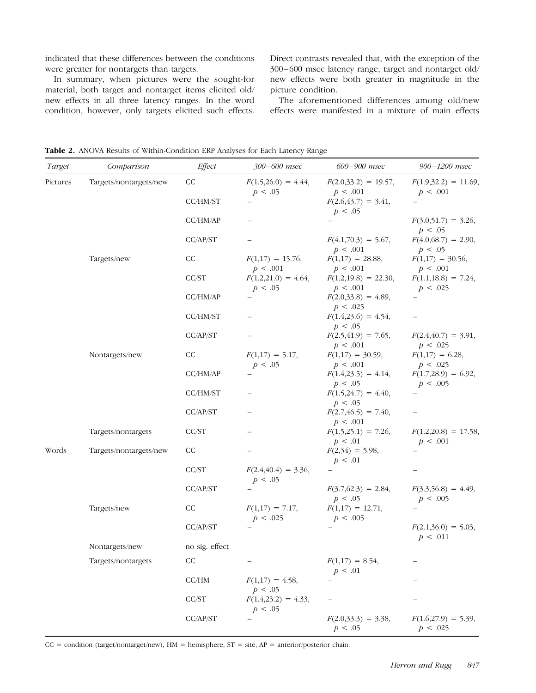indicated that these differences between the conditions were greater for nontargets than targets.

In summary, when pictures were the sought-for material, both target and nontarget items elicited old/ new effects in all three latency ranges. In the word condition, however, only targets elicited such effects.

Direct contrasts revealed that, with the exception of the 300–600 msec latency range, target and nontarget old/ new effects were both greater in magnitude in the picture condition.

The aforementioned differences among old/new effects were manifested in a mixture of main effects

| Target   | Comparison             | Effect         | 300-600 msec                      | 600-900 msec                        | 900-1200 msec                       |
|----------|------------------------|----------------|-----------------------------------|-------------------------------------|-------------------------------------|
| Pictures | Targets/nontargets/new | $\rm CC$       | $F(1.5,26.0) = 4.44,$<br>p < .05  | $F(2.0,33.2) = 19.57,$<br>p < .001  | $F(1.9,32.2) = 11.69$ ,<br>p < .001 |
|          |                        | CC/HM/ST       |                                   | $F(2.6, 43.7) = 3.41,$<br>p < .05   |                                     |
|          |                        | CC/HM/AP       |                                   |                                     | $F(3.0,51.7) = 3.26,$<br>p < .05    |
|          |                        | CC/AP/ST       |                                   | $F(4.1,70.3) = 5.67$ ,<br>p < .001  | $F(4.0,68.7) = 2.90,$<br>p < .05    |
|          | Targets/new            | CC             | $F(1,17) = 15.76,$<br>p < .001    | $F(1,17) = 28.88,$<br>p < .001      | $F(1,17) = 30.56,$<br>p < .001      |
|          |                        | CC/ST          | $F(1.2,21.0) = 4.64,$<br>p < .05  | $F(1.2, 19.8) = 22.30,$<br>p < .001 | $F(1.1, 18.8) = 7.24,$<br>p < .025  |
|          |                        | CC/HM/AP       | $\overline{\phantom{0}}$          | $F(2.0,33.8) = 4.89,$<br>p < .025   |                                     |
|          |                        | CC/HM/ST       |                                   | $F(1.4,23.6) = 4.54,$<br>p < .05    | $\qquad \qquad -$                   |
|          |                        | CC/AP/ST       |                                   | $F(2.5, 41.9) = 7.65,$<br>p < .001  | $F(2.4, 40.7) = 3.91,$<br>p < .025  |
|          | Nontargets/new         | CC             | $F(1,17) = 5.17$ ,<br>p < .05     | $F(1,17) = 30.59$ ,<br>p < .001     | $F(1,17) = 6.28$ ,<br>p < .025      |
|          |                        | CC/HM/AP       |                                   | $F(1.4,23.5) = 4.14,$<br>p < .05    | $F(1.7, 28.9) = 6.92,$<br>p < .005  |
|          |                        | CC/HM/ST       |                                   | $F(1.5, 24.7) = 4.40,$<br>p < .05   |                                     |
|          |                        | CC/AP/ST       |                                   | $F(2.7, 46.5) = 7.40,$<br>p < .001  |                                     |
|          | Targets/nontargets     | CC/ST          |                                   | $F(1.5,25.1) = 7.26,$<br>p < .01    | $F(1.2,20.8) = 17.58$ ,<br>p < .001 |
| Words    | Targets/nontargets/new | CC             |                                   | $F(2,34) = 5.98$ ,<br>p < .01       |                                     |
|          |                        | CC/ST          | $F(2.4, 40.4) = 3.36,$<br>p < .05 |                                     | $\qquad \qquad -$                   |
|          |                        | CC/AP/ST       |                                   | $F(3.7,62.3) = 2.84,$<br>p < .05    | $F(3.3,56.8) = 4.49,$<br>p < .005   |
|          | Targets/new            | CC             | $F(1,17) = 7.17$ ,<br>p < .025    | $F(1,17) = 12.71,$<br>p < .005      |                                     |
|          |                        | CC/AP/ST       |                                   |                                     | $F(2.1,36.0) = 5.03$ ,<br>p < .011  |
|          | Nontargets/new         | no sig. effect |                                   |                                     |                                     |
|          | Targets/nontargets     | $\rm CC$       | $\overline{\phantom{m}}$          | $F(1,17) = 8.54,$<br>p < .01        |                                     |
|          |                        | CC/HM          | $F(1,17) = 4.58$ ,<br>p < .05     |                                     |                                     |
|          |                        | CC/ST          | $F(1.4,23.2) = 4.33,$<br>p < .05  |                                     |                                     |
|          |                        | CC/AP/ST       |                                   | $F(2.0,33.3) = 3.38,$<br>p < .05    | $F(1.6,27.9) = 5.39$ ,<br>p < .025  |

Table 2. ANOVA Results of Within-Condition ERP Analyses for Each Latency Range

 $CC =$  condition (target/nontarget/new),  $HM =$  hemisphere,  $ST =$  site,  $AP =$  anterior/posterior chain.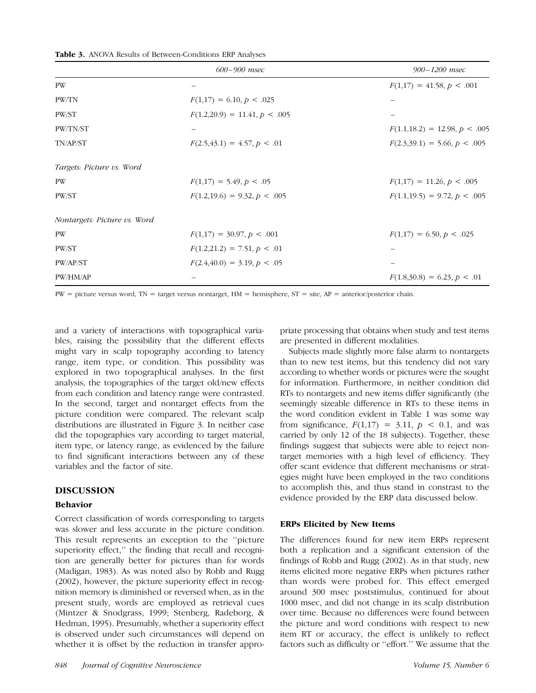| <b>Table 3.</b> ANOVA Results of Between-Conditions ERP Analyses |  |
|------------------------------------------------------------------|--|
|------------------------------------------------------------------|--|

|                              | 600-900 msec                    | 900-1200 msec                    |
|------------------------------|---------------------------------|----------------------------------|
| PW                           |                                 | $F(1,17) = 41.58, p < .001$      |
| PW/TN                        | $F(1,17) = 6.10, p < .025$      |                                  |
| PW/ST                        | $F(1.2,20.9) = 11.41, p < .005$ |                                  |
| PW/TN/ST                     |                                 | $F(1.1, 18.2) = 12.98, p < .005$ |
| TN/AP/ST                     | $F(2.5, 43.1) = 4.57, p < .01$  | $F(2.3,39.1) = 5.66, p < .005$   |
| Targets: Picture vs. Word    |                                 |                                  |
| PW                           | $F(1,17) = 5.49, p < .05$       | $F(1,17) = 11.26, p < .005$      |
| PW/ST                        | $F(1.2, 19.6) = 9.32, p < .005$ | $F(1.1,19.5) = 9.72, p < .005$   |
| Nontargets: Picture vs. Word |                                 |                                  |
| PW                           | $F(1,17) = 30.97, p < .001$     | $F(1,17) = 6.50, p < .025$       |
| PW/ST                        | $F(1.2,21.2) = 7.51, p < .01$   |                                  |
| PW/AP/ST                     | $F(2.4, 40.0) = 3.19, p < .05$  |                                  |
| PW/HM/AP                     |                                 | $F(1.8,30.8) = 6.23, p < .01$    |

PW = picture versus word, TN = target versus nontarget, HM = hemisphere, ST = site, AP = anterior/posterior chain.

and a variety of interactions with topographical variables, raising the possibility that the different effects might vary in scalp topography according to latency range, item type, or condition. This possibility was explored in two topographical analyses. In the first analysis, the topographies of the target old/new effects from each condition and latency range were contrasted. In the second, target and nontarget effects from the picture condition were compared. The relevant scalp distributions are illustrated in Figure 3. In neither case did the topographies vary according to target material, item type, or latency range, as evidenced by the failure to find significant interactions between any of these variables and the factor of site.

## DISCUSSION

## Behavior

Correct classification of words corresponding to targets was slower and less accurate in the picture condition. This result represents an exception to the ''picture superiority effect,'' the finding that recall and recognition are generally better for pictures than for words (Madigan, 1983). As was noted also by Robb and Rugg (2002), however, the picture superiority effect in recognition memory is diminished or reversed when, as in the present study, words are employed as retrieval cues (Mintzer & Snodgrass, 1999; Stenberg, Radeborg, & Hedman, 1995). Presumably, whether a superiority effect is observed under such circumstances will depend on whether it is offset by the reduction in transfer appropriate processing that obtains when study and test items are presented in different modalities.

Subjects made slightly more false alarm to nontargets than to new test items, but this tendency did not vary according to whether words or pictures were the sought for information. Furthermore, in neither condition did RTs to nontargets and new items differ significantly (the seemingly sizeable difference in RTs to these items in the word condition evident in Table 1 was some way from significance,  $F(1,17) = 3.11$ ,  $p < 0.1$ , and was carried by only 12 of the 18 subjects). Together, these findings suggest that subjects were able to reject nontarget memories with a high level of efficiency. They offer scant evidence that different mechanisms or strategies might have been employed in the two conditions to accomplish this, and thus stand in constrast to the evidence provided by the ERP data discussed below.

## ERPs Elicited by New Items

The differences found for new item ERPs represent both a replication and a significant extension of the findings of Robb and Rugg (2002). As in that study, new items elicited more negative ERPs when pictures rather than words were probed for. This effect emerged around 300 msec poststimulus, continued for about 1000 msec, and did not change in its scalp distribution over time. Because no differences were found between the picture and word conditions with respect to new item RT or accuracy, the effect is unlikely to reflect factors such as difficulty or ''effort.'' We assume that the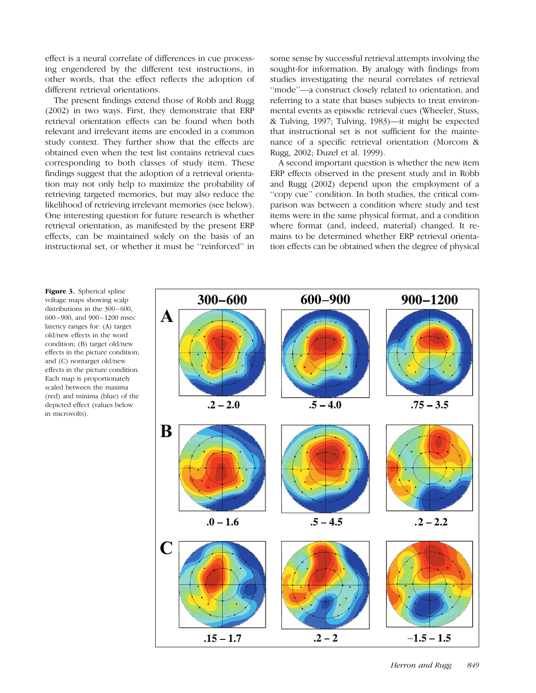effect is a neural correlate of differences in cue processing engendered by the different test instructions, in other words, that the effect reflects the adoption of different retrieval orientations.

The present findings extend those of Robb and Rugg (2002) in two ways. First, they demonstrate that ERP retrieval orientation effects can be found when both relevant and irrelevant items are encoded in a common study context. They further show that the effects are obtained even when the test list contains retrieval cues corresponding to both classes of study item. These findings suggest that the adoption of a retrieval orientation may not only help to maximize the probability of retrieving targeted memories, but may also reduce the likelihood of retrieving irrelevant memories (see below). One interesting question for future research is whether retrieval orientation, as manifested by the present ERP effects, can be maintained solely on the basis of an instructional set, or whether it must be ''reinforced'' in

some sense by successful retrieval attempts involving the sought-for information. By analogy with findings from studies investigating the neural correlates of retrieval ''mode''—a construct closely related to orientation, and referring to a state that biases subjects to treat environmental events as episodic retrieval cues (Wheeler, Stuss, & Tulving, 1997; Tulving, 1983)—it might be expected that instructional set is not sufficient for the maintenance of a specific retrieval orientation (Morcom & Rugg, 2002; Duzel et al. 1999).

A second important question is whether the new item ERP effects observed in the present study and in Robb and Rugg (2002) depend upon the employment of a ''copy cue'' condition. In both studies, the critical comparison was between a condition where study and test items were in the same physical format, and a condition where format (and, indeed, material) changed. It remains to be determined whether ERP retrieval orientation effects can be obtained when the degree of physical

Figure 3. Spherical spline voltage maps showing scalp distributions in the 300-600, 600–900, and 900– 1200 msec latency ranges for: (A) target old/new effects in the word condition; (B) target old/new effects in the picture condition; and (C) nontarget old/new effects in the picture condition. Each map is proportionately scaled between the maxima (red) and minima (blue) of the depicted effect (values below in microvolts).

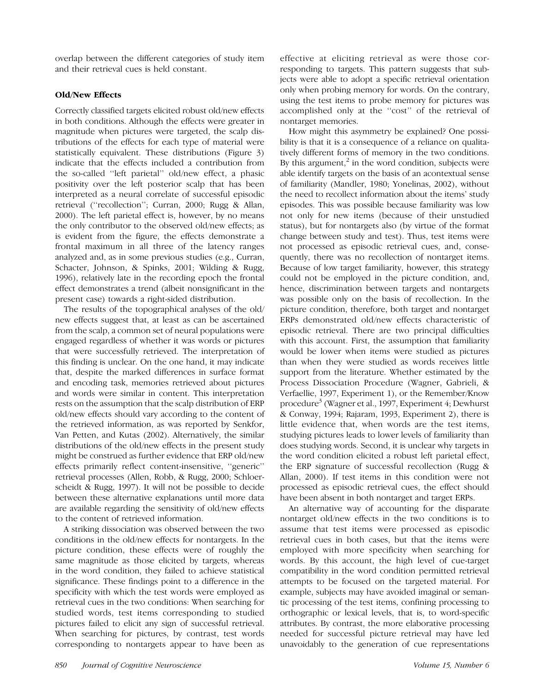overlap between the different categories of study item and their retrieval cues is held constant.

# Old/New Effects

Correctly classified targets elicited robust old/new effects in both conditions. Although the effects were greater in magnitude when pictures were targeted, the scalp distributions of the effects for each type of material were statistically equivalent. These distributions (Figure 3) indicate that the effects included a contribution from the so-called ''left parietal'' old/new effect, a phasic positivity over the left posterior scalp that has been interpreted as a neural correlate of successful episodic retrieval (''recollection''; Curran, 2000; Rugg & Allan, 2000). The left parietal effect is, however, by no means the only contributor to the observed old/new effects; as is evident from the figure, the effects demonstrate a frontal maximum in all three of the latency ranges analyzed and, as in some previous studies (e.g., Curran, Schacter, Johnson, & Spinks, 2001; Wilding & Rugg, 1996), relatively late in the recording epoch the frontal effect demonstrates a trend (albeit nonsignificant in the present case) towards a right-sided distribution.

The results of the topographical analyses of the old/ new effects suggest that, at least as can be ascertained from the scalp, a common set of neural populations were engaged regardless of whether it was words or pictures that were successfully retrieved. The interpretation of this finding is unclear. On the one hand, it may indicate that, despite the marked differences in surface format and encoding task, memories retrieved about pictures and words were similar in content. This interpretation rests on the assumption that the scalp distribution of ERP old/new effects should vary according to the content of the retrieved information, as was reported by Senkfor, Van Petten, and Kutas (2002). Alternatively, the similar distributions of the old/new effects in the present study might be construed as further evidence that ERP old/new effects primarily reflect content-insensitive, ''generic'' retrieval processes (Allen, Robb, & Rugg, 2000; Schloerscheidt & Rugg, 1997). It will not be possible to decide between these alternative explanations until more data are available regarding the sensitivity of old/new effects to the content of retrieved information.

A striking dissociation was observed between the two conditions in the old/new effects for nontargets. In the picture condition, these effects were of roughly the same magnitude as those elicited by targets, whereas in the word condition, they failed to achieve statistical significance. These findings point to a difference in the specificity with which the test words were employed as retrieval cues in the two conditions: When searching for studied words, test items corresponding to studied pictures failed to elicit any sign of successful retrieval. When searching for pictures, by contrast, test words corresponding to nontargets appear to have been as

effective at eliciting retrieval as were those corresponding to targets. This pattern suggests that subjects were able to adopt a specific retrieval orientation only when probing memory for words. On the contrary, using the test items to probe memory for pictures was accomplished only at the ''cost'' of the retrieval of nontarget memories.

How might this asymmetry be explained? One possibility is that it is a consequence of a reliance on qualitatively different forms of memory in the two conditions. By this argument, $^2$  in the word condition, subjects were able identify targets on the basis of an acontextual sense of familiarity (Mandler, 1980; Yonelinas, 2002), without the need to recollect information about the items' study episodes. This was possible because familiarity was low not only for new items (because of their unstudied status), but for nontargets also (by virtue of the format change between study and test). Thus, test items were not processed as episodic retrieval cues, and, consequently, there was no recollection of nontarget items. Because of low target familiarity, however, this strategy could not be employed in the picture condition, and, hence, discrimination between targets and nontargets was possible only on the basis of recollection. In the picture condition, therefore, both target and nontarget ERPs demonstrated old/new effects characteristic of episodic retrieval. There are two principal difficulties with this account. First, the assumption that familiarity would be lower when items were studied as pictures than when they were studied as words receives little support from the literature. Whether estimated by the Process Dissociation Procedure (Wagner, Gabrieli, & Verfaellie, 1997, Experiment 1), or the Remember/Know procedure<sup>3</sup> (Wagner et al., 1997, Experiment 4; Dewhurst & Conway, 1994; Rajaram, 1993, Experiment 2), there is little evidence that, when words are the test items, studying pictures leads to lower levels of familiarity than does studying words. Second, it is unclear why targets in the word condition elicited a robust left parietal effect, the ERP signature of successful recollection (Rugg & Allan, 2000). If test items in this condition were not processed as episodic retrieval cues, the effect should have been absent in both nontarget and target ERPs.

An alternative way of accounting for the disparate nontarget old/new effects in the two conditions is to assume that test items were processed as episodic retrieval cues in both cases, but that the items were employed with more specificity when searching for words. By this account, the high level of cue-target compatibility in the word condition permitted retrieval attempts to be focused on the targeted material. For example, subjects may have avoided imaginal or semantic processing of the test items, confining processing to orthographic or lexical levels, that is, to word-specific attributes. By contrast, the more elaborative processing needed for successful picture retrieval may have led unavoidably to the generation of cue representations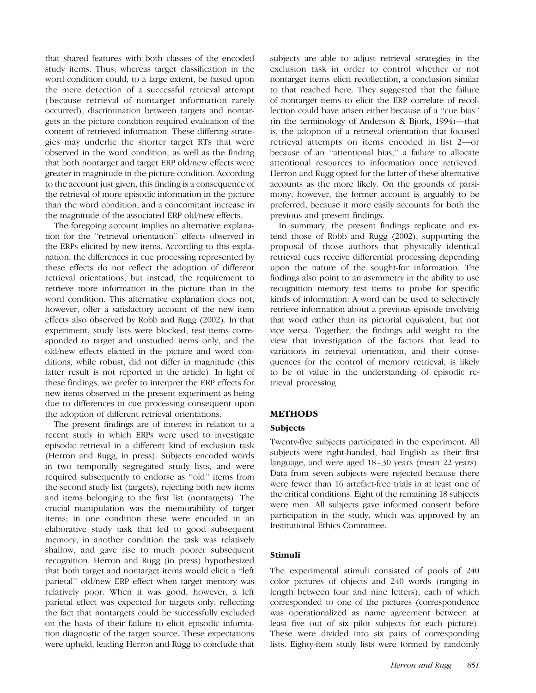that shared features with both classes of the encoded study items. Thus, whereas target classification in the word condition could, to a large extent, be based upon the mere detection of a successful retrieval attempt (because retrieval of nontarget information rarely occurred), discrimination between targets and nontargets in the picture condition required evaluation of the content of retrieved information. These differing strategies may underlie the shorter target RTs that were observed in the word condition, as well as the finding that both nontarget and target ERP old/new effects were greater in magnitude in the picture condition. According to the account just given, this finding is a consequence of the retrieval of more episodic information in the picture than the word condition, and a concomitant increase in the magnitude of the associated ERP old/new effects.

The foregoing account implies an alternative explanation for the ''retrieval orientation'' effects observed in the ERPs elicited by new items. According to this explanation, the differences in cue processing represented by these effects do not reflect the adoption of different retrieval orientations, but instead, the requirement to retrieve more information in the picture than in the word condition. This alternative explanation does not, however, offer a satisfactory account of the new item effects also observed by Robb and Rugg (2002). In that experiment, study lists were blocked, test items corresponded to target and unstudied items only, and the old/new effects elicited in the picture and word conditions, while robust, did not differ in magnitude (this latter result is not reported in the article). In light of these findings, we prefer to interpret the ERP effects for new items observed in the present experiment as being due to differences in cue processing consequent upon the adoption of different retrieval orientations.

The present findings are of interest in relation to a recent study in which ERPs were used to investigate episodic retrieval in a different kind of exclusion task (Herron and Rugg, in press). Subjects encoded words in two temporally segregated study lists, and were required subsequently to endorse as ''old'' items from the second study list (targets), rejecting both new items and items belonging to the first list (nontargets). The crucial manipulation was the memorability of target items; in one condition these were encoded in an elaborative study task that led to good subsequent memory, in another condition the task was relatively shallow, and gave rise to much poorer subsequent recognition. Herron and Rugg (in press) hypothesized that both target and nontarget items would elicit a ''left parietal'' old/new ERP effect when target memory was relatively poor. When it was good, however, a left parietal effect was expected for targets only, reflecting the fact that nontargets could be successfully excluded on the basis of their failure to elicit episodic information diagnostic of the target source. These expectations were upheld, leading Herron and Rugg to conclude that

subjects are able to adjust retrieval strategies in the exclusion task in order to control whether or not nontarget items elicit recollection, a conclusion similar to that reached here. They suggested that the failure of nontarget items to elicit the ERP correlate of recollection could have arisen either because of a ''cue bias'' (in the terminology of Anderson & Bjork, 1994)—that is, the adoption of a retrieval orientation that focused retrieval attempts on items encoded in list 2—or because of an ''attentional bias,'' a failure to allocate attentional resources to information once retrieved. Herron and Rugg opted for the latter of these alternative accounts as the more likely. On the grounds of parsimony, however, the former account is arguably to be preferred, because it more easily accounts for both the previous and present findings.

In summary, the present findings replicate and extend those of Robb and Rugg (2002), supporting the proposal of those authors that physically identical retrieval cues receive differential processing depending upon the nature of the sought-for information. The findings also point to an asymmetry in the ability to use recognition memory test items to probe for specific kinds of information: A word can be used to selectively retrieve information about a previous episode involving that word rather than its pictorial equivalent, but not vice versa. Together, the findings add weight to the view that investigation of the factors that lead to variations in retrieval orientation, and their consequences for the control of memory retrieval, is likely to be of value in the understanding of episodic retrieval processing.

# METHODS

## Subjects

Twenty-five subjects participated in the experiment. All subjects were right-handed, had English as their first language, and were aged 18–30 years (mean 22 years). Data from seven subjects were rejected because there were fewer than 16 artefact-free trials in at least one of the critical conditions. Eight of the remaining 18 subjects were men. All subjects gave informed consent before participation in the study, which was approved by an Institutional Ethics Committee.

## Stimuli

The experimental stimuli consisted of pools of 240 color pictures of objects and 240 words (ranging in length between four and nine letters), each of which corresponded to one of the pictures (correspondence was operationalized as name agreement between at least five out of six pilot subjects for each picture). These were divided into six pairs of corresponding lists. Eighty-item study lists were formed by randomly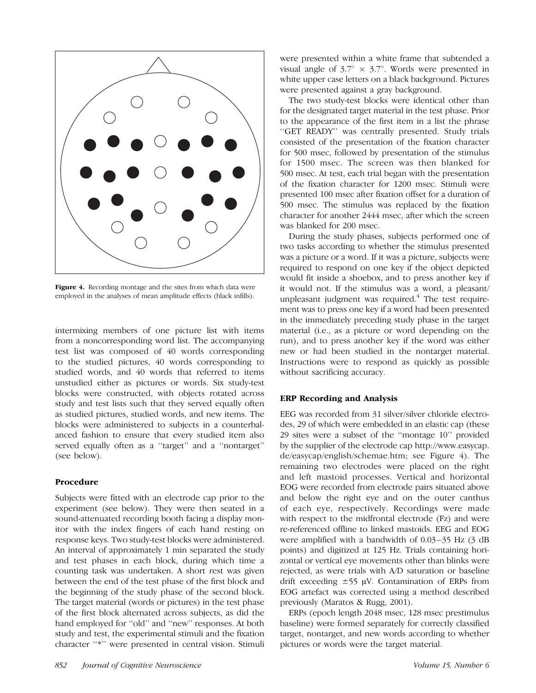

Figure 4. Recording montage and the sites from which data were employed in the analyses of mean amplitude effects (black infills).

intermixing members of one picture list with items from a noncorresponding word list. The accompanying test list was composed of 40 words corresponding to the studied pictures, 40 words corresponding to studied words, and 40 words that referred to items unstudied either as pictures or words. Six study-test blocks were constructed, with objects rotated across study and test lists such that they served equally often as studied pictures, studied words, and new items. The blocks were administered to subjects in a counterbalanced fashion to ensure that every studied item also served equally often as a ''target'' and a ''nontarget'' (see below).

# Procedure

Subjects were fitted with an electrode cap prior to the experiment (see below). They were then seated in a sound-attenuated recording booth facing a display monitor with the index fingers of each hand resting on response keys. Two study-test blocks were administered. An interval of approximately 1 min separated the study and test phases in each block, during which time a counting task was undertaken. A short rest was given between the end of the test phase of the first block and the beginning of the study phase of the second block. The target material (words or pictures) in the test phase of the first block alternated across subjects, as did the hand employed for "old" and "new" responses. At both study and test, the experimental stimuli and the fixation character ''\*'' were presented in central vision. Stimuli were presented within a white frame that subtended a visual angle of  $3.7^{\circ} \times 3.7^{\circ}$ . Words were presented in white upper case letters on a black background. Pictures were presented against a gray background.

The two study-test blocks were identical other than for the designated target material in the test phase. Prior to the appearance of the first item in a list the phrase ''GET READY'' was centrally presented. Study trials consisted of the presentation of the fixation character for 500 msec, followed by presentation of the stimulus for 1500 msec. The screen was then blanked for 500 msec. At test, each trial began with the presentation of the fixation character for 1200 msec. Stimuli were presented 100 msec after fixation offset for a duration of 500 msec. The stimulus was replaced by the fixation character for another 2444 msec, after which the screen was blanked for 200 msec.

During the study phases, subjects performed one of two tasks according to whether the stimulus presented was a picture or a word. If it was a picture, subjects were required to respond on one key if the object depicted would fit inside a shoebox, and to press another key if it would not. If the stimulus was a word, a pleasant/ unpleasant judgment was required. $4$  The test requirement was to press one key if a word had been presented in the immediately preceding study phase in the target material (i.e., as a picture or word depending on the run), and to press another key if the word was either new or had been studied in the nontarget material. Instructions were to respond as quickly as possible without sacrificing accuracy.

# ERP Recording and Analysis

EEG was recorded from 31 silver/silver chloride electrodes, 29 of which were embedded in an elastic cap (these 29 sites were a subset of the ''montage 10'' provided by the supplier of the electrode cap http://www.easycap. de/easycap/english/schemae.htm; see Figure 4). The remaining two electrodes were placed on the right and left mastoid processes. Vertical and horizontal EOG were recorded from electrode pairs situated above and below the right eye and on the outer canthus of each eye, respectively. Recordings were made with respect to the midfrontal electrode (Fz) and were re-referenced offline to linked mastoids. EEG and EOG were amplified with a bandwidth of 0.03–35 Hz (3 dB points) and digitized at 125 Hz. Trials containing horizontal or vertical eye movements other than blinks were rejected, as were trials with A/D saturation or baseline drift exceeding  $\pm$ 55 µV. Contamination of ERPs from EOG artefact was corrected using a method described previously (Maratos & Rugg, 2001).

ERPs (epoch length 2048 msec, 128 msec prestimulus baseline) were formed separately for correctly classified target, nontarget, and new words according to whether pictures or words were the target material.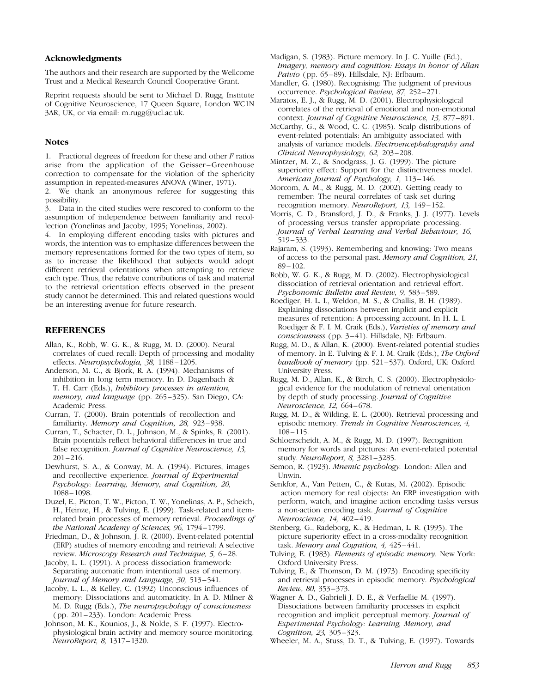#### Acknowledgments

The authors and their research are supported by the Wellcome Trust and a Medical Research Council Cooperative Grant.

Reprint requests should be sent to Michael D. Rugg, Institute of Cognitive Neuroscience, 17 Queen Square, London WC1N 3AR, UK, or via email: m.rugg@ucl.ac.uk.

#### Notes

1. Fractional degrees of freedom for these and other  $F$  ratios arise from the application of the Geisser–Greenhouse correction to compensate for the violation of the sphericity assumption in repeated-measures ANOVA (Winer, 1971).

2. We thank an anonymous referee for suggesting this possibility.

3. Data in the cited studies were rescored to conform to the assumption of independence between familiarity and recollection (Yonelinas and Jacoby, 1995; Yonelinas, 2002).

4. In employing different encoding tasks with pictures and words, the intention was to emphasize differences between the memory representations formed for the two types of item, so as to increase the likelihood that subjects would adopt different retrieval orientations when attempting to retrieve each type. Thus, the relative contributions of task and material to the retrieval orientation effects observed in the present study cannot be determined. This and related questions would be an interesting avenue for future research.

#### REFERENCES

- Allan, K., Robb, W. G. K., & Rugg, M. D. (2000). Neural correlates of cued recall: Depth of processing and modality effects. Neuropsychologia, 38, 1188–1205.
- Anderson, M. C., & Bjork, R. A. (1994). Mechanisms of inhibition in long term memory. In D. Dagenbach & T. H. Carr (Eds.), Inhibitory processes in attention, memory, and language (pp. 265–325). San Diego, CA: Academic Press.
- Curran, T. (2000). Brain potentials of recollection and familiarity. Memory and Cognition, 28, 923–938.
- Curran, T., Schacter, D. L., Johnson, M., & Spinks, R. (2001). Brain potentials reflect behavioral differences in true and false recognition. *Journal of Cognitive Neuroscience*, 13, 201–216.
- Dewhurst, S. A., & Conway, M. A. (1994). Pictures, images and recollective experience. Journal of Experimental Psychology: Learning, Memory, and Cognition, 20, 1088–1098.
- Duzel, E., Picton, T. W., Picton, T. W., Yonelinas, A. P., Scheich, H., Heinze, H., & Tulving, E. (1999). Task-related and itemrelated brain processes of memory retrieval. Proceedings of the National Academy of Sciences, 96, 1794–1799.
- Friedman, D., & Johnson, J. R. (2000). Event-related potential (ERP) studies of memory encoding and retrieval: A selective review. Microscopy Research and Technique, 5, 6–28.

Jacoby, L. L. (1991). A process dissociation framework: Separating automatic from intentional uses of memory. Journal of Memory and Language, 30, 513–541.

- Jacoby, L. L., & Kelley, C. (1992) Unconscious influences of memory: Dissociations and automaticity. In A. D. Milner & M. D. Rugg (Eds.), The neuropsychology of consciousness ( pp. 201–233). London: Academic Press.
- Johnson, M. K., Kounios, J., & Nolde, S. F. (1997). Electrophysiological brain activity and memory source monitoring. NeuroReport, 8, 1317–1320.
- Madigan, S. (1983). Picture memory. In J. C. Yuille (Ed.), Imagery, memory and cognition: Essays in honor of Allan Paivio (pp. 65–89). Hillsdale, NJ: Erlbaum.
- Mandler, G. (1980). Recognising: The judgment of previous occurrence. Psychological Review, 87, 252–271.
- Maratos, E. J., & Rugg, M. D. (2001). Electrophysiological correlates of the retrieval of emotional and non-emotional context. Journal of Cognitive Neuroscience, 13, 877–891.
- McCarthy, G., & Wood, C. C. (1985). Scalp distributions of event-related potentials: An ambiguity associated with analysis of variance models. Electroencephalography and Clinical Neurophysiology, 62, 203–208.
- Mintzer, M. Z., & Snodgrass, J. G. (1999). The picture superiority effect: Support for the distinctiveness model. American Journal of Psychology, 1, 113–146.
- Morcom, A. M., & Rugg, M. D. (2002). Getting ready to remember: The neural correlates of task set during recognition memory. NeuroReport, 13, 149–152.
- Morris, C. D., Bransford, J. D., & Franks, J. J. (1977). Levels of processing versus transfer appropriate processing. Journal of Verbal Learning and Verbal Behaviour, 16, 519–533.
- Rajaram, S. (1993). Remembering and knowing: Two means of access to the personal past. Memory and Cognition, 21, 89–102.
- Robb, W. G. K., & Rugg, M. D. (2002). Electrophysiological dissociation of retrieval orientation and retrieval effort. Psychonomic Bulletin and Review, 9, 583–589.
- Roediger, H. L. I., Weldon, M. S., & Challis, B. H. (1989). Explaining dissociations between implicit and explicit measures of retention: A processing account. In H. L. I. Roediger & F. I. M. Craik (Eds.), Varieties of memory and consciousness (pp. 3–41). Hillsdale, NJ: Erlbaum.

Rugg, M. D., & Allan, K. (2000). Event-related potential studies of memory. In E. Tulving & F. I. M. Craik (Eds.), The Oxford handbook of memory (pp. 521–537). Oxford, UK: Oxford University Press.

- Rugg, M. D., Allan, K., & Birch, C. S. (2000). Electrophysiological evidence for the modulation of retrieval orientation by depth of study processing. Journal of Cognitive Neuroscience, 12, 664–678.
- Rugg, M. D., & Wilding, E. L. (2000). Retrieval processing and episodic memory. Trends in Cognitive Neurosciences, 4, 108–115.
- Schloerscheidt, A. M., & Rugg, M. D. (1997). Recognition memory for words and pictures: An event-related potential study. NeuroReport, 8, 3281–3285.
- Semon, R. (1923). Mnemic psychology. London: Allen and Unwin.
- Senkfor, A., Van Petten, C., & Kutas, M. (2002). Episodic action memory for real objects: An ERP investigation with perform, watch, and imagine action encoding tasks versus a non-action encoding task. Journal of Cognitive Neuroscience, 14, 402–419.
- Stenberg, G., Radeborg, K., & Hedman, L. R. (1995). The picture superiority effect in a cross-modality recognition task. Memory and Cognition, 4, 425–441.
- Tulving, E. (1983). Elements of episodic memory. New York: Oxford University Press.
- Tulving, E., & Thomson, D. M. (1973). Encoding specificity and retrieval processes in episodic memory. Psychological Review, 80, 353–373.
- Wagner A. D., Gabrieli J. D. E., & Verfaellie M. (1997). Dissociations between familiarity processes in explicit recognition and implicit perceptual memory. Journal of Experimental Psychology: Learning, Memory, and Cognition, 23, 305–323.
- Wheeler, M. A., Stuss, D. T., & Tulving, E. (1997). Towards